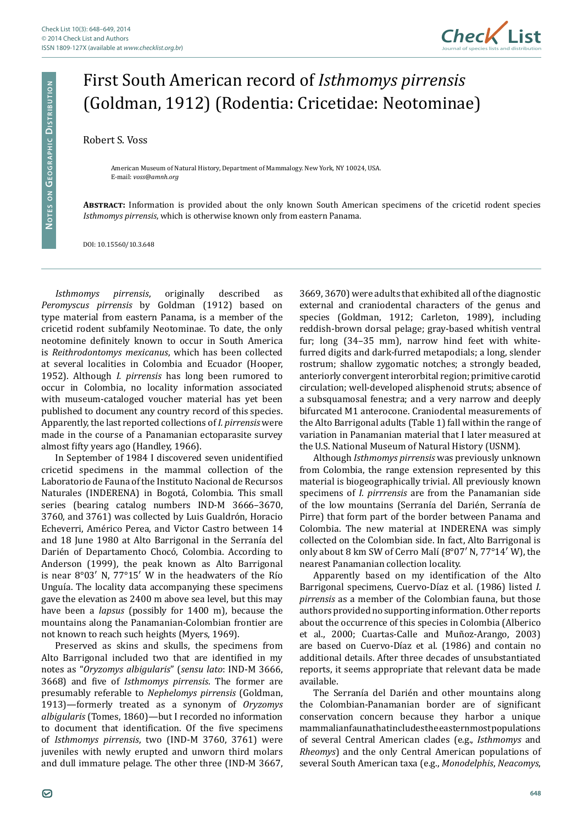

## First South American record of *Isthmomys pirrensis* (Goldman, 1912) (Rodentia: Cricetidae: Neotominae)

## Robert S. Voss

American Museum of Natural History, Department of Mammalogy. New York, NY 10024, USA. E-mail: *[voss@amnh.org](mailto:voss@amnh.org)*

**Abstract:** Information is provided about the only known South American specimens of the cricetid rodent species *Isthmomys pirrensis*, which is otherwise known only from eastern Panama.

DOI: [10.15560/10.3.648](http://dx.doi.org/10.15560/10.3.648)

*Isthmomys pirrensis*, originally described as *Peromyscus pirrensis* by Goldman (1912) based on type material from eastern Panama, is a member of the cricetid rodent subfamily Neotominae. To date, the only neotomine definitely known to occur in South America is *Reithrodontomys mexicanus*, which has been collected at several localities in Colombia and Ecuador (Hooper, 1952). Although *I. pirrensis* has long been rumored to occur in Colombia, no locality information associated with museum-cataloged voucher material has yet been published to document any country record of this species. Apparently, the last reported collections of *I. pirrensis* were made in the course of a Panamanian ectoparasite survey almost fifty years ago (Handley, 1966).

In September of 1984 I discovered seven unidentified cricetid specimens in the mammal collection of the Laboratorio de Fauna of the Instituto Nacional de Recursos Naturales (INDERENA) in Bogotá, Colombia. This small series (bearing catalog numbers IND-M 3666–3670, 3760, and 3761) was collected by Luis Gualdrón, Horacio Echeverri, Américo Perea, and Victor Castro between 14 and 18 June 1980 at Alto Barrigonal in the Serranía del Darién of Departamento Chocó, Colombia. According to Anderson (1999), the peak known as Alto Barrigonal is near 8°03′ N, 77°15′ W in the headwaters of the Río Unguía. The locality data accompanying these specimens gave the elevation as 2400 m above sea level, but this may have been a *lapsus* (possibly for 1400 m), because the mountains along the Panamanian-Colombian frontier are not known to reach such heights (Myers, 1969).

Preserved as skins and skulls, the specimens from Alto Barrigonal included two that are identified in my notes as "*Oryzomys albigularis*" (*sensu lato*: IND-M 3666, 3668) and five of *Isthmomys pirrensis*. The former are presumably referable to *Nephelomys pirrensis* (Goldman, 1913)—formerly treated as a synonym of *Oryzomys albigularis* (Tomes, 1860)—but I recorded no information to document that identification. Of the five specimens of *Isthmomys pirrensis*, two (IND-M 3760, 3761) were juveniles with newly erupted and unworn third molars and dull immature pelage. The other three (IND-M 3667, 3669, 3670) were adults that exhibited all of the diagnostic external and craniodental characters of the genus and species (Goldman, 1912; Carleton, 1989), including reddish-brown dorsal pelage; gray-based whitish ventral fur; long (34–35 mm), narrow hind feet with whitefurred digits and dark-furred metapodials; a long, slender rostrum; shallow zygomatic notches; a strongly beaded, anteriorly convergent interorbital region; primitive carotid circulation; well-developed alisphenoid struts; absence of a subsquamosal fenestra; and a very narrow and deeply bifurcated M1 anterocone. Craniodental measurements of the Alto Barrigonal adults (Table 1) fall within the range of variation in Panamanian material that I later measured at the U.S. National Museum of Natural History (USNM).

Although *Isthmomys pirrensis* was previously unknown from Colombia, the range extension represented by this material is biogeographically trivial. All previously known specimens of *I. pirrrensis* are from the Panamanian side of the low mountains (Serranía del Darién, Serranía de Pirre) that form part of the border between Panama and Colombia. The new material at INDERENA was simply collected on the Colombian side. In fact, Alto Barrigonal is only about 8 km SW of Cerro Malí (8°07′ N, 77°14′ W), the nearest Panamanian collection locality.

Apparently based on my identification of the Alto Barrigonal specimens, Cuervo-Díaz et al. (1986) listed *I. pirrensis* as a member of the Colombian fauna, but those authors provided no supporting information. Other reports about the occurrence of this species in Colombia (Alberico et al., 2000; Cuartas-Calle and Muñoz-Arango, 2003) are based on Cuervo-Díaz et al. (1986) and contain no additional details. After three decades of unsubstantiated reports, it seems appropriate that relevant data be made available.

The Serranía del Darién and other mountains along the Colombian-Panamanian border are of significant conservation concern because they harbor a unique mammalian fauna that includes the easternmost populations of several Central American clades (e.g., *Isthmomys* and *Rheomys*) and the only Central American populations of several South American taxa (e.g., *Monodelphis*, *Neacomys*,